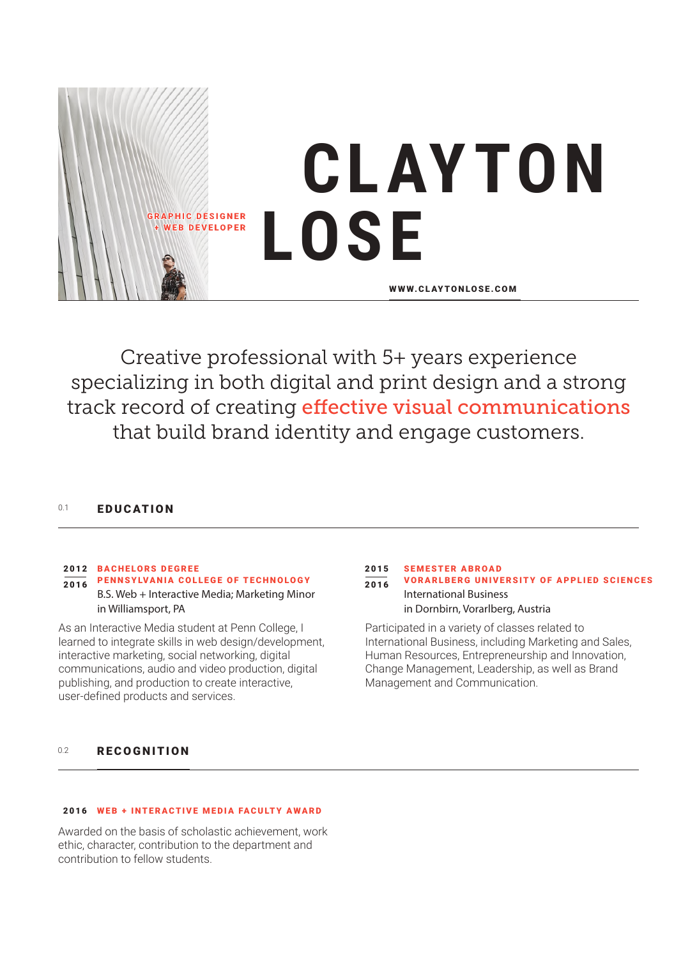

Creative professional with 5+ years experience specializing in both digital and print design and a strong track record of creating effective visual communications that build brand identity and engage customers.

# 0.1 **FDUCATION**

# BACHELORS DEGREE 2012

PENNSYLVANIA COLLEGE OF TECHNOLOGY 2016 B.S. Web + Interactive Media; Marketing Minor in Williamsport, PA

As an Interactive Media student at Penn College, I learned to integrate skills in web design/development, interactive marketing, social networking, digital communications, audio and video production, digital publishing, and production to create interactive, user-defined products and services.

#### SEMESTER ABROAD VORARLBERG UNIVERSITY OF APPLIED SCIENCES International Business in Dornbirn, Vorarlberg, Austria 2015 2016

Participated in a variety of classes related to International Business, including Marketing and Sales, Human Resources, Entrepreneurship and Innovation, Change Management, Leadership, as well as Brand Management and Communication.

#### 0.2 RECOGNITION

### 2016 WEB + INTERACTIVE MEDIA FACULTY AWARD

Awarded on the basis of scholastic achievement, work ethic, character, contribution to the department and contribution to fellow students.